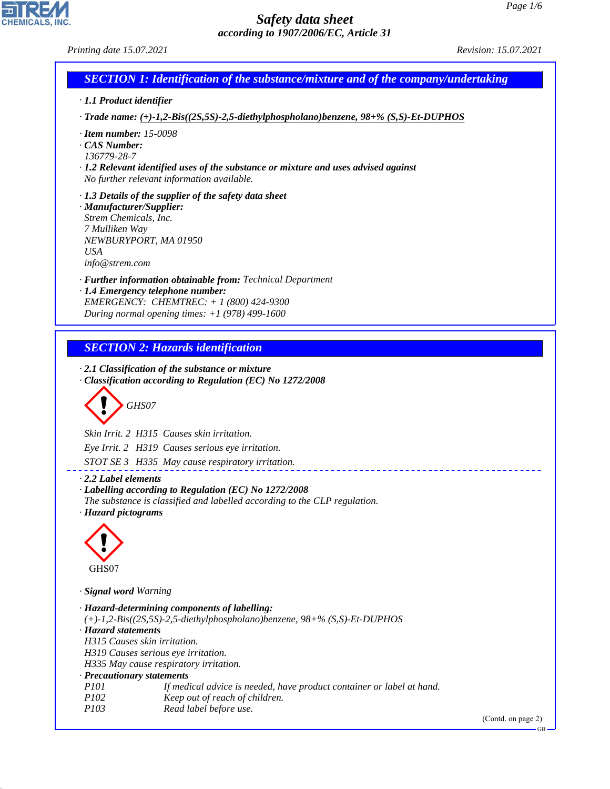GB

# *Safety data sheet according to 1907/2006/EC, Article 31*

CHEMICALS, INC.

44.1.1

| Printing date 15.07.2021                                                                            |                                                                                                                                                                                                                                                                                                                                                                                       | Revision: 15.07.2021 |
|-----------------------------------------------------------------------------------------------------|---------------------------------------------------------------------------------------------------------------------------------------------------------------------------------------------------------------------------------------------------------------------------------------------------------------------------------------------------------------------------------------|----------------------|
|                                                                                                     | <b>SECTION 1: Identification of the substance/mixture and of the company/undertaking</b>                                                                                                                                                                                                                                                                                              |                      |
| $\cdot$ 1.1 Product identifier                                                                      |                                                                                                                                                                                                                                                                                                                                                                                       |                      |
|                                                                                                     | $\cdot$ Trade name: (+)-1,2-Bis((2S,5S)-2,5-diethylphospholano)benzene, 98+% (S,S)-Et-DUPHOS                                                                                                                                                                                                                                                                                          |                      |
| $\cdot$ Item number: 15-0098<br>CAS Number:<br>136779-28-7                                          | $\cdot$ 1.2 Relevant identified uses of the substance or mixture and uses advised against<br>No further relevant information available.                                                                                                                                                                                                                                               |                      |
| · Manufacturer/Supplier:<br>Strem Chemicals, Inc.<br>7 Mulliken Way<br><b>USA</b><br>info@strem.com | · 1.3 Details of the supplier of the safety data sheet<br>NEWBURYPORT, MA 01950                                                                                                                                                                                                                                                                                                       |                      |
|                                                                                                     | · Further information obtainable from: Technical Department<br>· 1.4 Emergency telephone number:<br>EMERGENCY: CHEMTREC: $+ 1 (800) 424 - 9300$<br>During normal opening times: $+1$ (978) 499-1600                                                                                                                                                                                   |                      |
|                                                                                                     | <b>SECTION 2: Hazards identification</b>                                                                                                                                                                                                                                                                                                                                              |                      |
|                                                                                                     | $\cdot$ 2.1 Classification of the substance or mixture<br>Classification according to Regulation (EC) No 1272/2008<br>GHS07<br>Skin Irrit. 2 H315 Causes skin irritation.<br>Eye Irrit. 2 H319 Causes serious eye irritation.<br>STOT SE 3 H335 May cause respiratory irritation.                                                                                                     |                      |
| 2.2 Label elements<br>· Hazard pictograms                                                           | · Labelling according to Regulation (EC) No 1272/2008<br>The substance is classified and labelled according to the CLP regulation.                                                                                                                                                                                                                                                    |                      |
| GHS07                                                                                               |                                                                                                                                                                                                                                                                                                                                                                                       |                      |
| · Signal word Warning                                                                               |                                                                                                                                                                                                                                                                                                                                                                                       |                      |
| · Hazard statements<br>P101<br>P102                                                                 | · Hazard-determining components of labelling:<br>$(+)-1,2-Bis((2S,5S)-2,5-diethylphospholano)benzene, 98+/6(S,S)-Et-DUPHOS$<br>H315 Causes skin irritation.<br>H319 Causes serious eye irritation.<br>H335 May cause respiratory irritation.<br>· Precautionary statements<br>If medical advice is needed, have product container or label at hand.<br>Keep out of reach of children. |                      |
| P103                                                                                                | Read label before use.                                                                                                                                                                                                                                                                                                                                                                | (Contd. on page 2)   |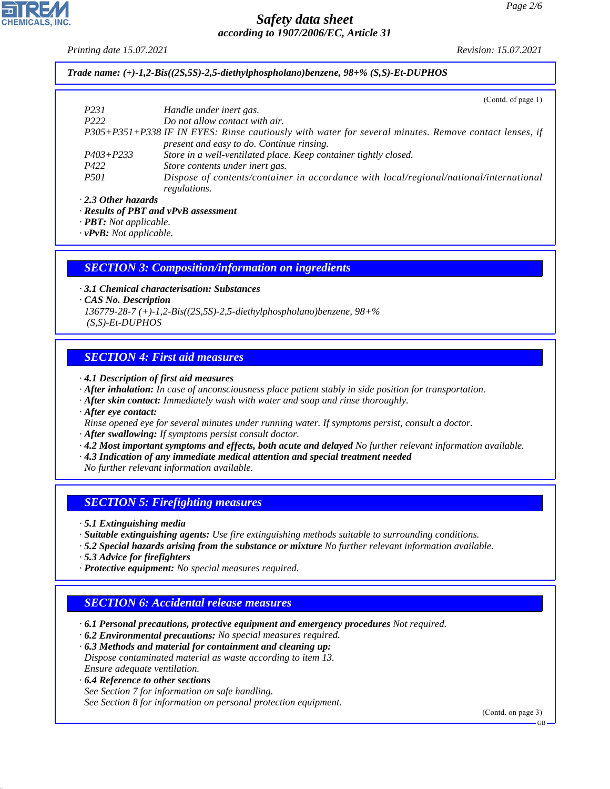*Printing date 15.07.2021 Revision: 15.07.2021*

*Trade name: (+)-1,2-Bis((2S,5S)-2,5-diethylphospholano)benzene, 98+% (S,S)-Et-DUPHOS*

|                           | (Cond. of page 1)                                                                                     |
|---------------------------|-------------------------------------------------------------------------------------------------------|
| P <sub>231</sub>          | Handle under inert gas.                                                                               |
| P <sub>222</sub>          | Do not allow contact with air.                                                                        |
|                           | P305+P351+P338 IF IN EYES: Rinse cautiously with water for several minutes. Remove contact lenses, if |
|                           | present and easy to do. Continue rinsing.                                                             |
| $P403 + P233$             | Store in a well-ventilated place. Keep container tightly closed.                                      |
| P422                      | Store contents under inert gas.                                                                       |
| <i>P501</i>               | Dispose of contents/container in accordance with local/regional/national/international                |
|                           | regulations.                                                                                          |
| $\cdot$ 2.3 Other hazards |                                                                                                       |

*· Results of PBT and vPvB assessment*

*· PBT: Not applicable.*

*· vPvB: Not applicable.*

#### *SECTION 3: Composition/information on ingredients*

*· 3.1 Chemical characterisation: Substances*

*· CAS No. Description*

*136779-28-7 (+)-1,2-Bis((2S,5S)-2,5-diethylphospholano)benzene, 98+% (S,S)-Et-DUPHOS*

### *SECTION 4: First aid measures*

*· 4.1 Description of first aid measures*

- *· After inhalation: In case of unconsciousness place patient stably in side position for transportation.*
- *· After skin contact: Immediately wash with water and soap and rinse thoroughly.*
- *· After eye contact:*
- *Rinse opened eye for several minutes under running water. If symptoms persist, consult a doctor.*

*· After swallowing: If symptoms persist consult doctor.*

- *· 4.2 Most important symptoms and effects, both acute and delayed No further relevant information available.*
- *· 4.3 Indication of any immediate medical attention and special treatment needed*
- *No further relevant information available.*

### *SECTION 5: Firefighting measures*

*· 5.1 Extinguishing media*

- *· Suitable extinguishing agents: Use fire extinguishing methods suitable to surrounding conditions.*
- *· 5.2 Special hazards arising from the substance or mixture No further relevant information available.*
- *· 5.3 Advice for firefighters*
- *· Protective equipment: No special measures required.*

### *SECTION 6: Accidental release measures*

*· 6.1 Personal precautions, protective equipment and emergency procedures Not required.*

*· 6.2 Environmental precautions: No special measures required.*

*· 6.3 Methods and material for containment and cleaning up: Dispose contaminated material as waste according to item 13. Ensure adequate ventilation.*

*· 6.4 Reference to other sections*

44.1.1

*See Section 7 for information on safe handling. See Section 8 for information on personal protection equipment.*

(Contd. on page 3)

GB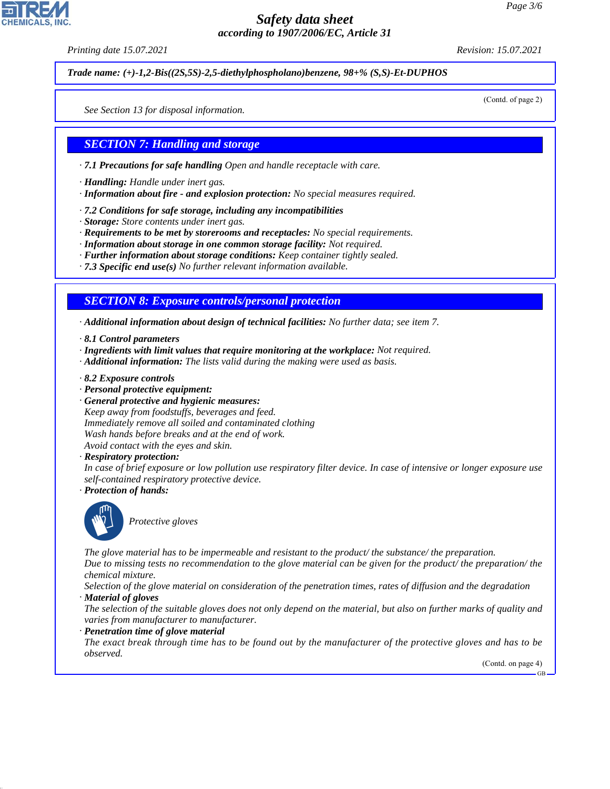*Printing date 15.07.2021 Revision: 15.07.2021*

*Trade name: (+)-1,2-Bis((2S,5S)-2,5-diethylphospholano)benzene, 98+% (S,S)-Et-DUPHOS*

(Contd. of page 2)

*See Section 13 for disposal information.*

#### *SECTION 7: Handling and storage*

- *· 7.1 Precautions for safe handling Open and handle receptacle with care.*
- *· Handling: Handle under inert gas.*
- *· Information about fire and explosion protection: No special measures required.*
- *· 7.2 Conditions for safe storage, including any incompatibilities*
- *· Storage: Store contents under inert gas.*
- *· Requirements to be met by storerooms and receptacles: No special requirements.*
- *· Information about storage in one common storage facility: Not required.*
- *· Further information about storage conditions: Keep container tightly sealed.*
- *· 7.3 Specific end use(s) No further relevant information available.*

*SECTION 8: Exposure controls/personal protection*

*· Additional information about design of technical facilities: No further data; see item 7.*

- *· 8.1 Control parameters*
- *· Ingredients with limit values that require monitoring at the workplace: Not required.*
- *· Additional information: The lists valid during the making were used as basis.*
- *· 8.2 Exposure controls*
- *· Personal protective equipment:*
- *· General protective and hygienic measures: Keep away from foodstuffs, beverages and feed. Immediately remove all soiled and contaminated clothing Wash hands before breaks and at the end of work. Avoid contact with the eyes and skin.*
- *· Respiratory protection:*

*In case of brief exposure or low pollution use respiratory filter device. In case of intensive or longer exposure use self-contained respiratory protective device.*

*· Protection of hands:*



44.1.1

\_S*Protective gloves*

*The glove material has to be impermeable and resistant to the product/ the substance/ the preparation.*

*Due to missing tests no recommendation to the glove material can be given for the product/ the preparation/ the chemical mixture.*

*Selection of the glove material on consideration of the penetration times, rates of diffusion and the degradation · Material of gloves*

*The selection of the suitable gloves does not only depend on the material, but also on further marks of quality and varies from manufacturer to manufacturer.*

*· Penetration time of glove material*

*The exact break through time has to be found out by the manufacturer of the protective gloves and has to be observed.*

(Contd. on page 4) GB

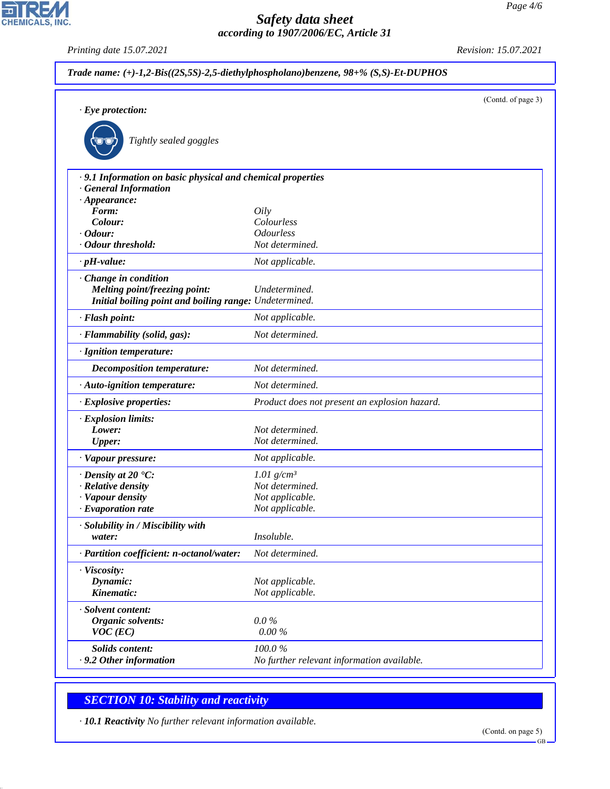*Printing date 15.07.2021 Revision: 15.07.2021*

CHEMICALS, INC.

| (Contd. of page 3)<br>$\cdot$ Eye protection:<br>Tightly sealed goggles<br>· 9.1 Information on basic physical and chemical properties<br>· General Information<br>$\cdot$ Appearance:<br>Oily<br>Form:<br>Colourless<br>Colour:<br><b>Odourless</b><br>$\cdot$ Odour:<br>· Odour threshold:<br>Not determined.<br>$\cdot$ pH-value:<br>Not applicable.<br>Change in condition<br>Melting point/freezing point:<br>Undetermined.<br>Initial boiling point and boiling range: Undetermined.<br>· Flash point:<br>Not applicable.<br>Not determined.<br>· Flammability (solid, gas):<br>· Ignition temperature:<br>Not determined.<br>Decomposition temperature:<br>Not determined.<br>· Auto-ignition temperature:<br>Product does not present an explosion hazard.<br>· Explosive properties:<br>· Explosion limits:<br>Not determined.<br>Lower:<br>Not determined.<br><b>Upper:</b><br>· Vapour pressure:<br>Not applicable.<br>$\cdot$ Density at 20 $\textdegree$ C:<br>1.01 $g/cm^3$<br>· Relative density<br>Not determined.<br>· Vapour density<br>Not applicable.<br>$\cdot$ Evaporation rate<br>Not applicable.<br>· Solubility in / Miscibility with<br>Insoluble.<br>water:<br>· Partition coefficient: n-octanol/water:<br>Not determined.<br>· Viscosity:<br>Dynamic:<br>Not applicable.<br>Kinematic:<br>Not applicable.<br>· Solvent content:<br>$0.0\%$<br>Organic solvents:<br>$0.00\%$<br>$VOC$ (EC)<br>100.0%<br><b>Solids content:</b><br>.9.2 Other information<br>No further relevant information available. | Trade name: $(+)-1,2-Bis((2S,5S)-2,5-diethylphospholano)benzene, 98+% (S,S)-Et-DUPHOS$ |  |  |
|------------------------------------------------------------------------------------------------------------------------------------------------------------------------------------------------------------------------------------------------------------------------------------------------------------------------------------------------------------------------------------------------------------------------------------------------------------------------------------------------------------------------------------------------------------------------------------------------------------------------------------------------------------------------------------------------------------------------------------------------------------------------------------------------------------------------------------------------------------------------------------------------------------------------------------------------------------------------------------------------------------------------------------------------------------------------------------------------------------------------------------------------------------------------------------------------------------------------------------------------------------------------------------------------------------------------------------------------------------------------------------------------------------------------------------------------------------------------------------------------------------------------------------|----------------------------------------------------------------------------------------|--|--|
|                                                                                                                                                                                                                                                                                                                                                                                                                                                                                                                                                                                                                                                                                                                                                                                                                                                                                                                                                                                                                                                                                                                                                                                                                                                                                                                                                                                                                                                                                                                                    |                                                                                        |  |  |
|                                                                                                                                                                                                                                                                                                                                                                                                                                                                                                                                                                                                                                                                                                                                                                                                                                                                                                                                                                                                                                                                                                                                                                                                                                                                                                                                                                                                                                                                                                                                    |                                                                                        |  |  |
|                                                                                                                                                                                                                                                                                                                                                                                                                                                                                                                                                                                                                                                                                                                                                                                                                                                                                                                                                                                                                                                                                                                                                                                                                                                                                                                                                                                                                                                                                                                                    |                                                                                        |  |  |
|                                                                                                                                                                                                                                                                                                                                                                                                                                                                                                                                                                                                                                                                                                                                                                                                                                                                                                                                                                                                                                                                                                                                                                                                                                                                                                                                                                                                                                                                                                                                    |                                                                                        |  |  |
|                                                                                                                                                                                                                                                                                                                                                                                                                                                                                                                                                                                                                                                                                                                                                                                                                                                                                                                                                                                                                                                                                                                                                                                                                                                                                                                                                                                                                                                                                                                                    |                                                                                        |  |  |
|                                                                                                                                                                                                                                                                                                                                                                                                                                                                                                                                                                                                                                                                                                                                                                                                                                                                                                                                                                                                                                                                                                                                                                                                                                                                                                                                                                                                                                                                                                                                    |                                                                                        |  |  |
|                                                                                                                                                                                                                                                                                                                                                                                                                                                                                                                                                                                                                                                                                                                                                                                                                                                                                                                                                                                                                                                                                                                                                                                                                                                                                                                                                                                                                                                                                                                                    |                                                                                        |  |  |
|                                                                                                                                                                                                                                                                                                                                                                                                                                                                                                                                                                                                                                                                                                                                                                                                                                                                                                                                                                                                                                                                                                                                                                                                                                                                                                                                                                                                                                                                                                                                    |                                                                                        |  |  |
|                                                                                                                                                                                                                                                                                                                                                                                                                                                                                                                                                                                                                                                                                                                                                                                                                                                                                                                                                                                                                                                                                                                                                                                                                                                                                                                                                                                                                                                                                                                                    |                                                                                        |  |  |
|                                                                                                                                                                                                                                                                                                                                                                                                                                                                                                                                                                                                                                                                                                                                                                                                                                                                                                                                                                                                                                                                                                                                                                                                                                                                                                                                                                                                                                                                                                                                    |                                                                                        |  |  |
|                                                                                                                                                                                                                                                                                                                                                                                                                                                                                                                                                                                                                                                                                                                                                                                                                                                                                                                                                                                                                                                                                                                                                                                                                                                                                                                                                                                                                                                                                                                                    |                                                                                        |  |  |
|                                                                                                                                                                                                                                                                                                                                                                                                                                                                                                                                                                                                                                                                                                                                                                                                                                                                                                                                                                                                                                                                                                                                                                                                                                                                                                                                                                                                                                                                                                                                    |                                                                                        |  |  |
|                                                                                                                                                                                                                                                                                                                                                                                                                                                                                                                                                                                                                                                                                                                                                                                                                                                                                                                                                                                                                                                                                                                                                                                                                                                                                                                                                                                                                                                                                                                                    |                                                                                        |  |  |
|                                                                                                                                                                                                                                                                                                                                                                                                                                                                                                                                                                                                                                                                                                                                                                                                                                                                                                                                                                                                                                                                                                                                                                                                                                                                                                                                                                                                                                                                                                                                    |                                                                                        |  |  |
|                                                                                                                                                                                                                                                                                                                                                                                                                                                                                                                                                                                                                                                                                                                                                                                                                                                                                                                                                                                                                                                                                                                                                                                                                                                                                                                                                                                                                                                                                                                                    |                                                                                        |  |  |
|                                                                                                                                                                                                                                                                                                                                                                                                                                                                                                                                                                                                                                                                                                                                                                                                                                                                                                                                                                                                                                                                                                                                                                                                                                                                                                                                                                                                                                                                                                                                    |                                                                                        |  |  |
|                                                                                                                                                                                                                                                                                                                                                                                                                                                                                                                                                                                                                                                                                                                                                                                                                                                                                                                                                                                                                                                                                                                                                                                                                                                                                                                                                                                                                                                                                                                                    |                                                                                        |  |  |
|                                                                                                                                                                                                                                                                                                                                                                                                                                                                                                                                                                                                                                                                                                                                                                                                                                                                                                                                                                                                                                                                                                                                                                                                                                                                                                                                                                                                                                                                                                                                    |                                                                                        |  |  |
|                                                                                                                                                                                                                                                                                                                                                                                                                                                                                                                                                                                                                                                                                                                                                                                                                                                                                                                                                                                                                                                                                                                                                                                                                                                                                                                                                                                                                                                                                                                                    |                                                                                        |  |  |
|                                                                                                                                                                                                                                                                                                                                                                                                                                                                                                                                                                                                                                                                                                                                                                                                                                                                                                                                                                                                                                                                                                                                                                                                                                                                                                                                                                                                                                                                                                                                    |                                                                                        |  |  |
|                                                                                                                                                                                                                                                                                                                                                                                                                                                                                                                                                                                                                                                                                                                                                                                                                                                                                                                                                                                                                                                                                                                                                                                                                                                                                                                                                                                                                                                                                                                                    |                                                                                        |  |  |
|                                                                                                                                                                                                                                                                                                                                                                                                                                                                                                                                                                                                                                                                                                                                                                                                                                                                                                                                                                                                                                                                                                                                                                                                                                                                                                                                                                                                                                                                                                                                    |                                                                                        |  |  |
|                                                                                                                                                                                                                                                                                                                                                                                                                                                                                                                                                                                                                                                                                                                                                                                                                                                                                                                                                                                                                                                                                                                                                                                                                                                                                                                                                                                                                                                                                                                                    |                                                                                        |  |  |
|                                                                                                                                                                                                                                                                                                                                                                                                                                                                                                                                                                                                                                                                                                                                                                                                                                                                                                                                                                                                                                                                                                                                                                                                                                                                                                                                                                                                                                                                                                                                    |                                                                                        |  |  |
|                                                                                                                                                                                                                                                                                                                                                                                                                                                                                                                                                                                                                                                                                                                                                                                                                                                                                                                                                                                                                                                                                                                                                                                                                                                                                                                                                                                                                                                                                                                                    |                                                                                        |  |  |
|                                                                                                                                                                                                                                                                                                                                                                                                                                                                                                                                                                                                                                                                                                                                                                                                                                                                                                                                                                                                                                                                                                                                                                                                                                                                                                                                                                                                                                                                                                                                    |                                                                                        |  |  |
|                                                                                                                                                                                                                                                                                                                                                                                                                                                                                                                                                                                                                                                                                                                                                                                                                                                                                                                                                                                                                                                                                                                                                                                                                                                                                                                                                                                                                                                                                                                                    |                                                                                        |  |  |
|                                                                                                                                                                                                                                                                                                                                                                                                                                                                                                                                                                                                                                                                                                                                                                                                                                                                                                                                                                                                                                                                                                                                                                                                                                                                                                                                                                                                                                                                                                                                    |                                                                                        |  |  |
|                                                                                                                                                                                                                                                                                                                                                                                                                                                                                                                                                                                                                                                                                                                                                                                                                                                                                                                                                                                                                                                                                                                                                                                                                                                                                                                                                                                                                                                                                                                                    |                                                                                        |  |  |
|                                                                                                                                                                                                                                                                                                                                                                                                                                                                                                                                                                                                                                                                                                                                                                                                                                                                                                                                                                                                                                                                                                                                                                                                                                                                                                                                                                                                                                                                                                                                    |                                                                                        |  |  |
|                                                                                                                                                                                                                                                                                                                                                                                                                                                                                                                                                                                                                                                                                                                                                                                                                                                                                                                                                                                                                                                                                                                                                                                                                                                                                                                                                                                                                                                                                                                                    |                                                                                        |  |  |
|                                                                                                                                                                                                                                                                                                                                                                                                                                                                                                                                                                                                                                                                                                                                                                                                                                                                                                                                                                                                                                                                                                                                                                                                                                                                                                                                                                                                                                                                                                                                    |                                                                                        |  |  |
|                                                                                                                                                                                                                                                                                                                                                                                                                                                                                                                                                                                                                                                                                                                                                                                                                                                                                                                                                                                                                                                                                                                                                                                                                                                                                                                                                                                                                                                                                                                                    |                                                                                        |  |  |
|                                                                                                                                                                                                                                                                                                                                                                                                                                                                                                                                                                                                                                                                                                                                                                                                                                                                                                                                                                                                                                                                                                                                                                                                                                                                                                                                                                                                                                                                                                                                    |                                                                                        |  |  |
|                                                                                                                                                                                                                                                                                                                                                                                                                                                                                                                                                                                                                                                                                                                                                                                                                                                                                                                                                                                                                                                                                                                                                                                                                                                                                                                                                                                                                                                                                                                                    |                                                                                        |  |  |
|                                                                                                                                                                                                                                                                                                                                                                                                                                                                                                                                                                                                                                                                                                                                                                                                                                                                                                                                                                                                                                                                                                                                                                                                                                                                                                                                                                                                                                                                                                                                    |                                                                                        |  |  |
|                                                                                                                                                                                                                                                                                                                                                                                                                                                                                                                                                                                                                                                                                                                                                                                                                                                                                                                                                                                                                                                                                                                                                                                                                                                                                                                                                                                                                                                                                                                                    |                                                                                        |  |  |
|                                                                                                                                                                                                                                                                                                                                                                                                                                                                                                                                                                                                                                                                                                                                                                                                                                                                                                                                                                                                                                                                                                                                                                                                                                                                                                                                                                                                                                                                                                                                    |                                                                                        |  |  |

# *SECTION 10: Stability and reactivity*

44.1.1

*· 10.1 Reactivity No further relevant information available.*

GB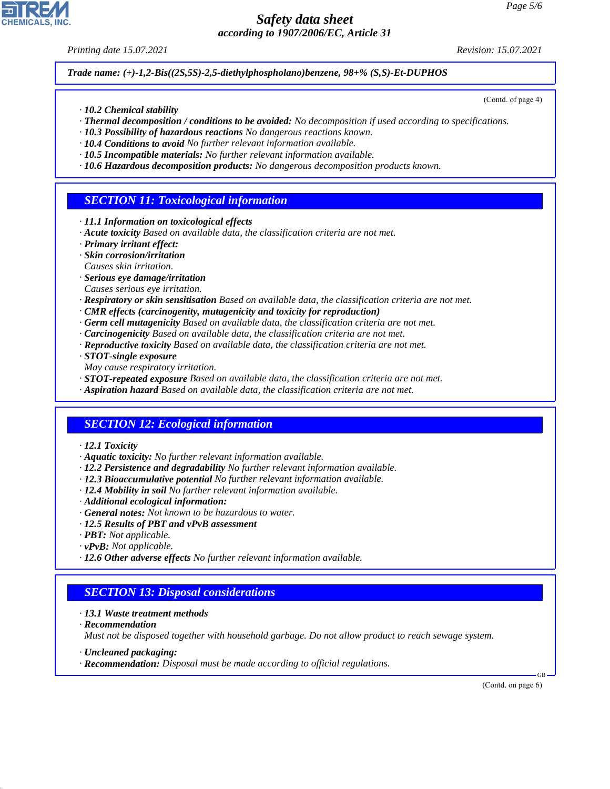*Printing date 15.07.2021 Revision: 15.07.2021*

*Trade name: (+)-1,2-Bis((2S,5S)-2,5-diethylphospholano)benzene, 98+% (S,S)-Et-DUPHOS*

- *· 10.2 Chemical stability*
- *· Thermal decomposition / conditions to be avoided: No decomposition if used according to specifications.*
- *· 10.3 Possibility of hazardous reactions No dangerous reactions known.*
- *· 10.4 Conditions to avoid No further relevant information available.*
- *· 10.5 Incompatible materials: No further relevant information available.*
- *· 10.6 Hazardous decomposition products: No dangerous decomposition products known.*

# *SECTION 11: Toxicological information*

- *· 11.1 Information on toxicological effects*
- *· Acute toxicity Based on available data, the classification criteria are not met.*
- *· Primary irritant effect:*
- *· Skin corrosion/irritation*
- *Causes skin irritation.*
- *· Serious eye damage/irritation*
- *Causes serious eye irritation.*
- *· Respiratory or skin sensitisation Based on available data, the classification criteria are not met.*
- *· CMR effects (carcinogenity, mutagenicity and toxicity for reproduction)*
- *· Germ cell mutagenicity Based on available data, the classification criteria are not met.*
- *· Carcinogenicity Based on available data, the classification criteria are not met.*
- *· Reproductive toxicity Based on available data, the classification criteria are not met.*
- *· STOT-single exposure*
- *May cause respiratory irritation.*
- *· STOT-repeated exposure Based on available data, the classification criteria are not met.*
- *· Aspiration hazard Based on available data, the classification criteria are not met.*

### *SECTION 12: Ecological information*

- *· 12.1 Toxicity*
- *· Aquatic toxicity: No further relevant information available.*
- *· 12.2 Persistence and degradability No further relevant information available.*
- *· 12.3 Bioaccumulative potential No further relevant information available.*
- *· 12.4 Mobility in soil No further relevant information available.*
- *· Additional ecological information:*
- *· General notes: Not known to be hazardous to water.*
- *· 12.5 Results of PBT and vPvB assessment*
- *· PBT: Not applicable.*
- *· vPvB: Not applicable.*
- *· 12.6 Other adverse effects No further relevant information available.*

# *SECTION 13: Disposal considerations*

- *· 13.1 Waste treatment methods*
- *· Recommendation*

44.1.1

*Must not be disposed together with household garbage. Do not allow product to reach sewage system.*

- *· Uncleaned packaging:*
- *· Recommendation: Disposal must be made according to official regulations.*

(Contd. on page 6)

GB